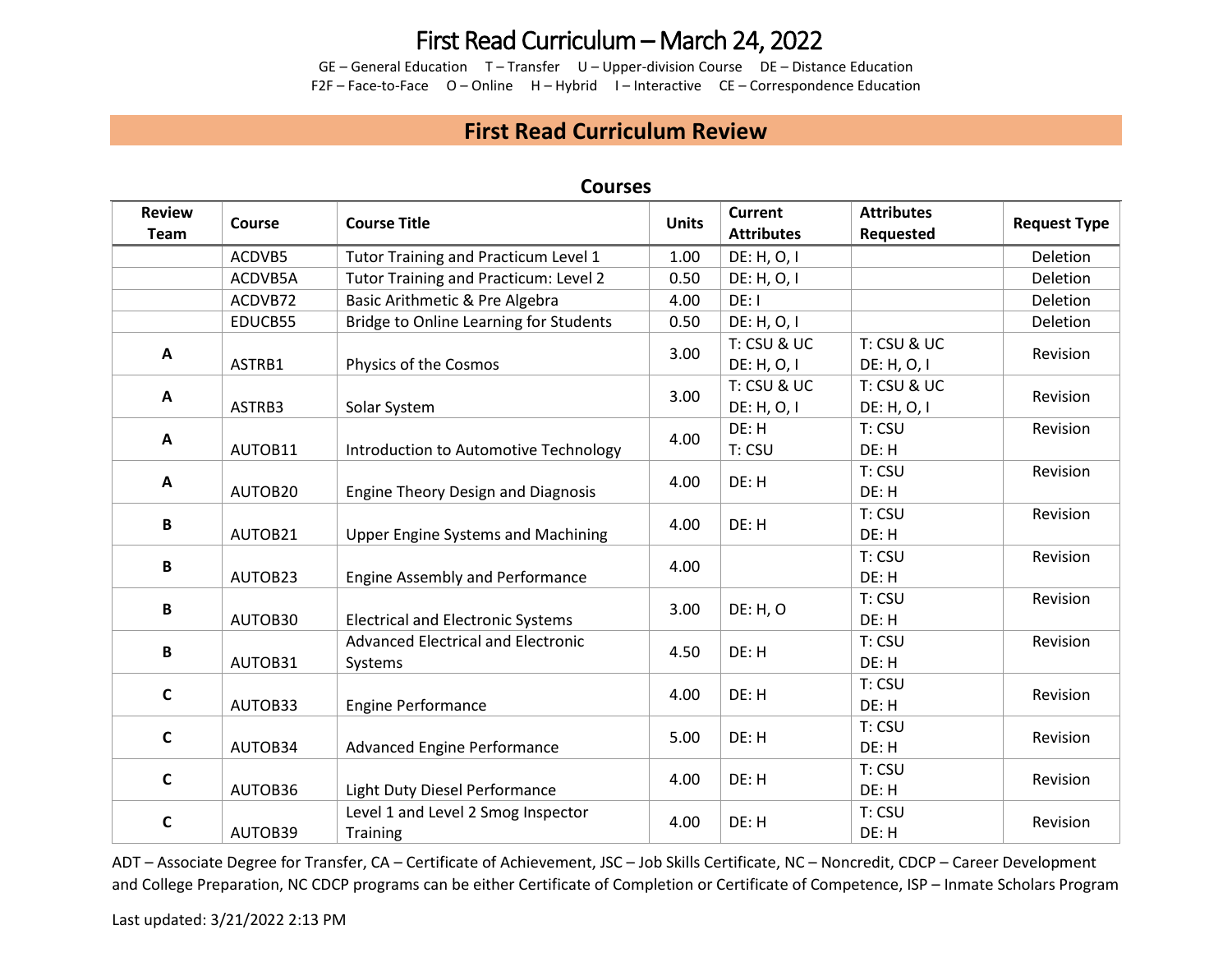GE – General Education T – Transfer U – Upper-division Course DE – Distance Education F2F – Face-to-Face O – Online H – Hybrid I – Interactive CE – Correspondence Education

#### **First Read Curriculum Review**

| <b>Review</b><br>Team | Course  | <b>Course Title</b>                                   | <b>Units</b> | <b>Current</b><br><b>Attributes</b> | <b>Attributes</b><br>Requested | <b>Request Type</b> |
|-----------------------|---------|-------------------------------------------------------|--------------|-------------------------------------|--------------------------------|---------------------|
|                       | ACDVB5  | Tutor Training and Practicum Level 1                  | 1.00         | DE: H, O, I                         |                                | Deletion            |
|                       | ACDVB5A | Tutor Training and Practicum: Level 2                 | 0.50         | DE: H, O, I                         |                                | Deletion            |
|                       | ACDVB72 | Basic Arithmetic & Pre Algebra                        | 4.00         | DE: I                               |                                | Deletion            |
|                       | EDUCB55 | Bridge to Online Learning for Students                | 0.50         | DE: H, O, I                         |                                | Deletion            |
| A                     | ASTRB1  | Physics of the Cosmos                                 | 3.00         | T: CSU & UC<br>DE: H, O, I          | T: CSU & UC<br>DE: H, O, I     | Revision            |
| A                     | ASTRB3  | Solar System                                          | 3.00         | T: CSU & UC<br>DE: H, O, I          | T: CSU & UC<br>DE: H, O, I     | Revision            |
| A                     | AUTOB11 | Introduction to Automotive Technology                 | 4.00         | DE: H<br>T: CSU                     | T: CSU<br>DE: H                | Revision            |
| A                     | AUTOB20 | <b>Engine Theory Design and Diagnosis</b>             | 4.00         | DE: H                               | T: CSU<br>DE: H                | Revision            |
| B                     | AUTOB21 | <b>Upper Engine Systems and Machining</b>             | 4.00         | DE: H                               | T: CSU<br>DE: H                | Revision            |
| B                     | AUTOB23 | <b>Engine Assembly and Performance</b>                | 4.00         |                                     | T: CSU<br>DE: H                | Revision            |
| В                     | AUTOB30 | <b>Electrical and Electronic Systems</b>              | 3.00         | DE: H, O                            | T: CSU<br>DE: H                | Revision            |
| В                     | AUTOB31 | <b>Advanced Electrical and Electronic</b><br>Systems  | 4.50         | DE: H                               | T: CSU<br>DE: H                | Revision            |
| C                     | AUTOB33 | <b>Engine Performance</b>                             | 4.00         | DE: H                               | T: CSU<br>DE: H                | Revision            |
| C                     | AUTOB34 | <b>Advanced Engine Performance</b>                    | 5.00         | DE: H                               | T: CSU<br>DE: H                | Revision            |
| $\mathsf{C}$          | AUTOB36 | Light Duty Diesel Performance                         | 4.00         | DE: H                               | T: CSU<br>DE: H                | Revision            |
| C                     | AUTOB39 | Level 1 and Level 2 Smog Inspector<br><b>Training</b> | 4.00         | DE: H                               | T: CSU<br>DE: H                | Revision            |

#### **Courses**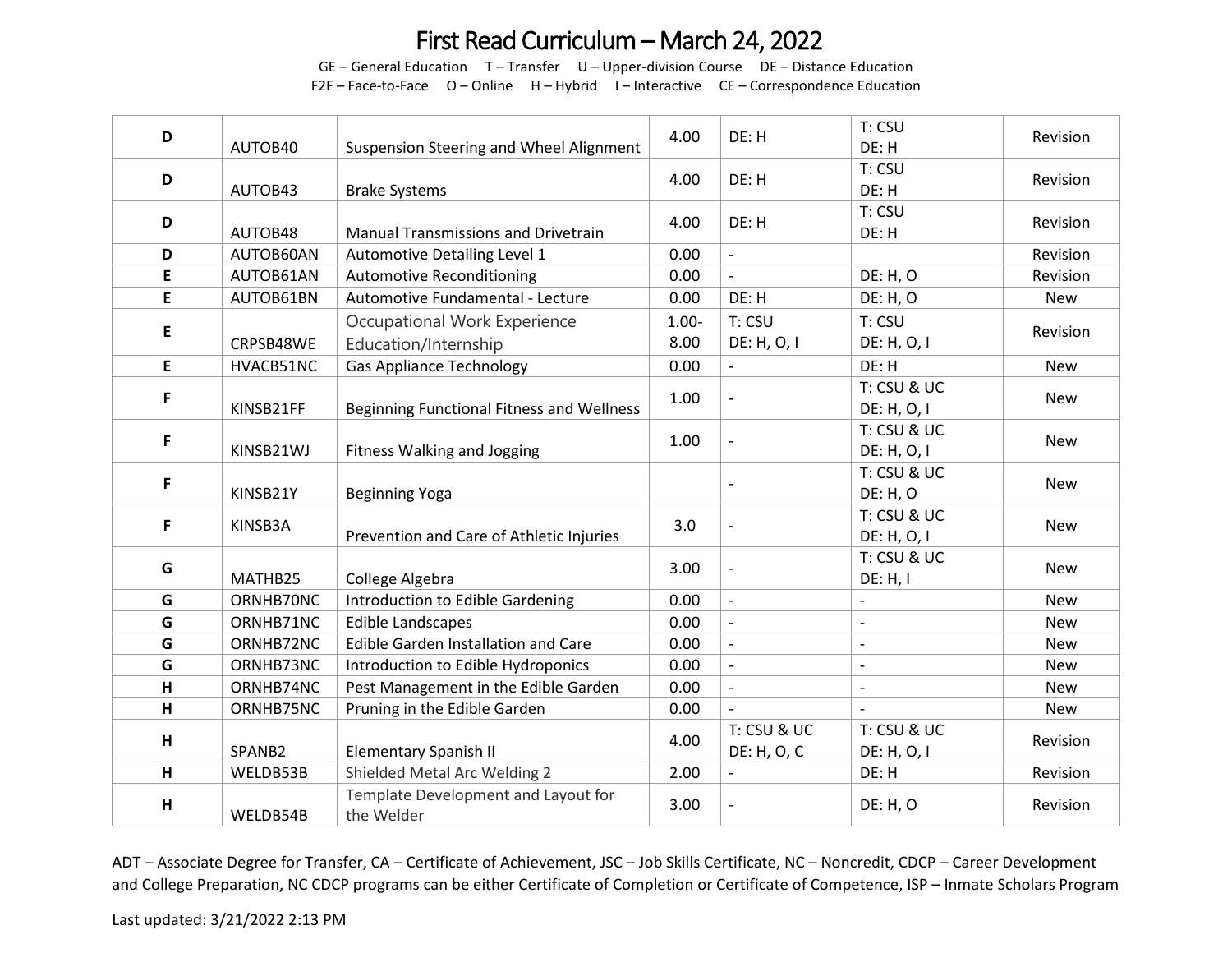GE – General Education T – Transfer U – Upper-division Course DE – Distance Education F2F – Face-to-Face O – Online H – Hybrid I – Interactive CE – Correspondence Education

| D | AUTOB40   | Suspension Steering and Wheel Alignment              | 4.00             | DE: H                      | T: CSU<br>DE: H                | Revision   |
|---|-----------|------------------------------------------------------|------------------|----------------------------|--------------------------------|------------|
| D | AUTOB43   | <b>Brake Systems</b>                                 | 4.00             | DE: H                      | T: CSU<br>DE: H                | Revision   |
| D | AUTOB48   | <b>Manual Transmissions and Drivetrain</b>           | 4.00             | DE: H                      | T: CSU<br>DE: H                | Revision   |
| D | AUTOB60AN | Automotive Detailing Level 1                         | 0.00             | $\overline{\phantom{a}}$   |                                | Revision   |
| E | AUTOB61AN | <b>Automotive Reconditioning</b>                     | 0.00             | $\blacksquare$             | DE: H, O                       | Revision   |
| E | AUTOB61BN | Automotive Fundamental - Lecture                     | 0.00             | DE: H                      | <b>DE: H, O</b>                | New        |
| E | CRPSB48WE | Occupational Work Experience<br>Education/Internship | $1.00 -$<br>8.00 | T: CSU<br>DE: H, O, I      | T: CSU<br>DE: H, O, I          | Revision   |
| E | HVACB51NC | <b>Gas Appliance Technology</b>                      | 0.00             | $\overline{\phantom{a}}$   | DE: H                          | <b>New</b> |
| F | KINSB21FF | Beginning Functional Fitness and Wellness            | 1.00             | $\overline{\phantom{a}}$   | T: CSU & UC<br>DE: H, O, I     | <b>New</b> |
| F | KINSB21WJ | <b>Fitness Walking and Jogging</b>                   | 1.00             | $\overline{\phantom{a}}$   | T: CSU & UC<br>DE: H, O, I     | <b>New</b> |
| F | KINSB21Y  | <b>Beginning Yoga</b>                                |                  | $\overline{\phantom{a}}$   | T: CSU & UC<br><b>DE: H, O</b> | <b>New</b> |
| F | KINSB3A   | Prevention and Care of Athletic Injuries             | 3.0              | $\overline{\phantom{a}}$   | T: CSU & UC<br>DE: H, O, I     | <b>New</b> |
| G | MATHB25   | College Algebra                                      | 3.00             | $\overline{\phantom{a}}$   | T: CSU & UC<br>DE: H, I        | <b>New</b> |
| G | ORNHB70NC | Introduction to Edible Gardening                     | 0.00             | $\overline{a}$             |                                | <b>New</b> |
| G | ORNHB71NC | <b>Edible Landscapes</b>                             | 0.00             | $\overline{\phantom{a}}$   | $\blacksquare$                 | <b>New</b> |
| G | ORNHB72NC | <b>Edible Garden Installation and Care</b>           | 0.00             | $\mathbb{L}$               |                                | <b>New</b> |
| G | ORNHB73NC | Introduction to Edible Hydroponics                   | 0.00             | $\blacksquare$             | $\overline{a}$                 | <b>New</b> |
| H | ORNHB74NC | Pest Management in the Edible Garden                 | 0.00             | $\blacksquare$             |                                | <b>New</b> |
| H | ORNHB75NC | Pruning in the Edible Garden                         | 0.00             | $\overline{a}$             |                                | New        |
| H | SPANB2    | <b>Elementary Spanish II</b>                         | 4.00             | T: CSU & UC<br>DE: H, O, C | T: CSU & UC<br>DE: H, O, I     | Revision   |
| H | WELDB53B  | Shielded Metal Arc Welding 2                         | 2.00             |                            | DE: H                          | Revision   |
| H | WELDB54B  | Template Development and Layout for<br>the Welder    | 3.00             | $\overline{\phantom{a}}$   | <b>DE: H, O</b>                | Revision   |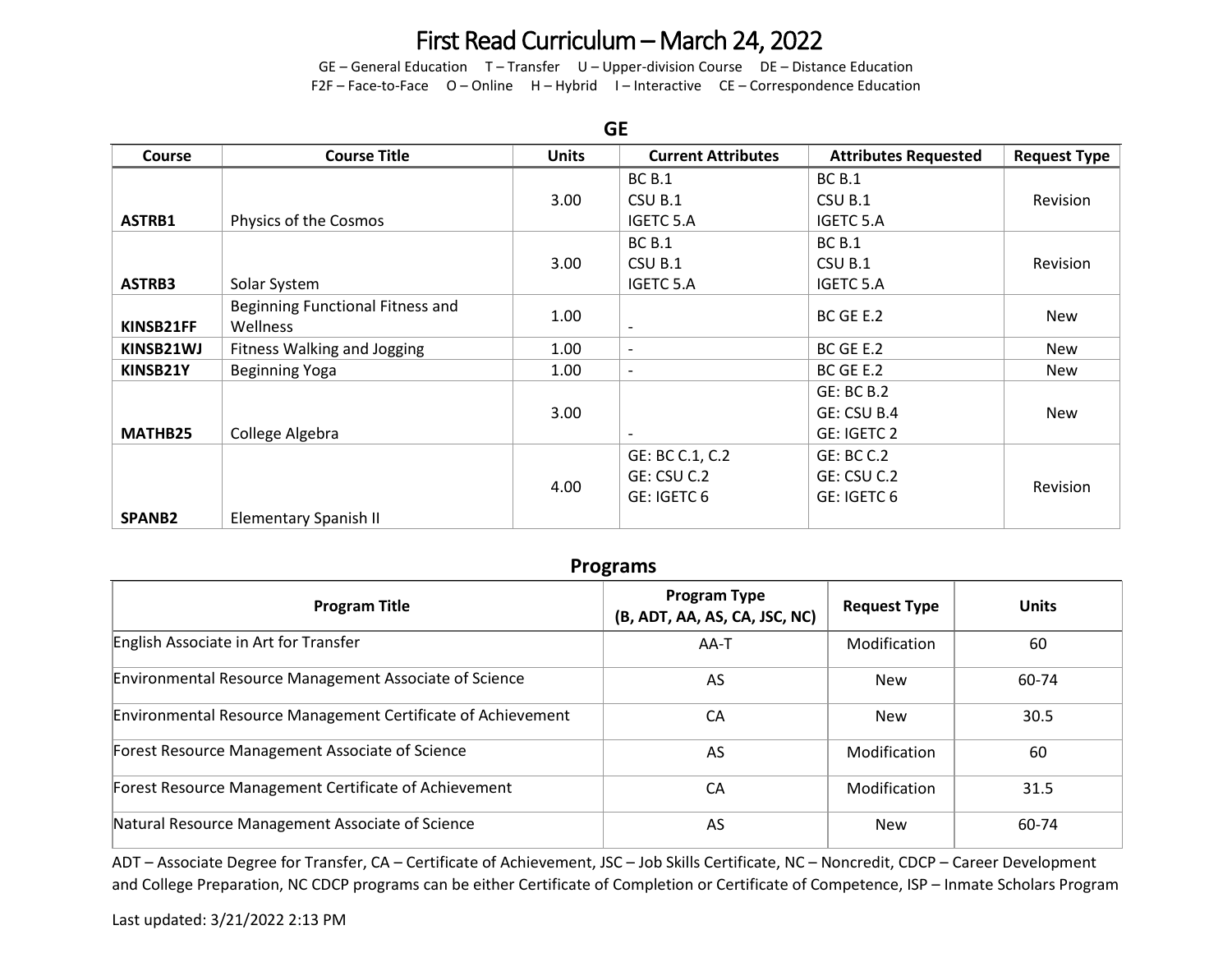GE – General Education T – Transfer U – Upper-division Course DE – Distance Education F2F – Face-to-Face O – Online H – Hybrid I – Interactive CE – Correspondence Education

| <b>GE</b>     |                                  |              |                           |                             |                     |  |
|---------------|----------------------------------|--------------|---------------------------|-----------------------------|---------------------|--|
| <b>Course</b> | <b>Course Title</b>              | <b>Units</b> | <b>Current Attributes</b> | <b>Attributes Requested</b> | <b>Request Type</b> |  |
|               |                                  |              | <b>BC B.1</b>             | <b>BC B.1</b>               |                     |  |
|               |                                  | 3.00         | CSU B.1                   | CSU B.1                     | Revision            |  |
| ASTRB1        | Physics of the Cosmos            |              | <b>IGETC 5.A</b>          | <b>IGETC 5.A</b>            |                     |  |
|               |                                  |              | <b>BC B.1</b>             | <b>BC B.1</b>               |                     |  |
|               |                                  | 3.00         | CSU B.1                   | CSU B.1                     | Revision            |  |
| ASTRB3        | Solar System                     |              | <b>IGETC 5.A</b>          | <b>IGETC 5.A</b>            |                     |  |
|               | Beginning Functional Fitness and | 1.00         |                           | BC GE E.2                   | <b>New</b>          |  |
| KINSB21FF     | <b>Wellness</b>                  |              | $\overline{\phantom{0}}$  |                             |                     |  |
| KINSB21WJ     | Fitness Walking and Jogging      | 1.00         | $\overline{\phantom{a}}$  | BC GE E.2                   | <b>New</b>          |  |
| KINSB21Y      | <b>Beginning Yoga</b>            | 1.00         | $\overline{\phantom{a}}$  | BC GE E.2                   | <b>New</b>          |  |
|               |                                  |              |                           | GE: BC B.2                  |                     |  |
|               |                                  | 3.00         |                           | GE: CSU B.4                 | <b>New</b>          |  |
| MATHB25       | College Algebra                  |              |                           | GE: IGETC 2                 |                     |  |
|               |                                  |              | GE: BC C.1, C.2           | GE: BC C.2                  |                     |  |
|               |                                  |              | GE: CSU C.2               | GE: CSU C.2                 |                     |  |
|               |                                  | 4.00         | GE: IGETC 6               | GE: IGETC 6                 | Revision            |  |
| <b>SPANB2</b> | Elementary Spanish II            |              |                           |                             |                     |  |

#### **Programs**

| <b>Program Title</b>                                                | <b>Program Type</b><br>(B, ADT, AA, AS, CA, JSC, NC) | <b>Request Type</b> | <b>Units</b> |
|---------------------------------------------------------------------|------------------------------------------------------|---------------------|--------------|
| English Associate in Art for Transfer                               | AA-T                                                 | Modification        | 60           |
| <b>Environmental Resource Management Associate of Science</b>       | AS                                                   | New                 | 60-74        |
| <b>Environmental Resource Management Certificate of Achievement</b> | CА                                                   | New                 | 30.5         |
| Forest Resource Management Associate of Science                     | AS                                                   | Modification        | 60           |
| Forest Resource Management Certificate of Achievement               | CA                                                   | Modification        | 31.5         |
| Natural Resource Management Associate of Science                    | AS                                                   | New                 | 60-74        |